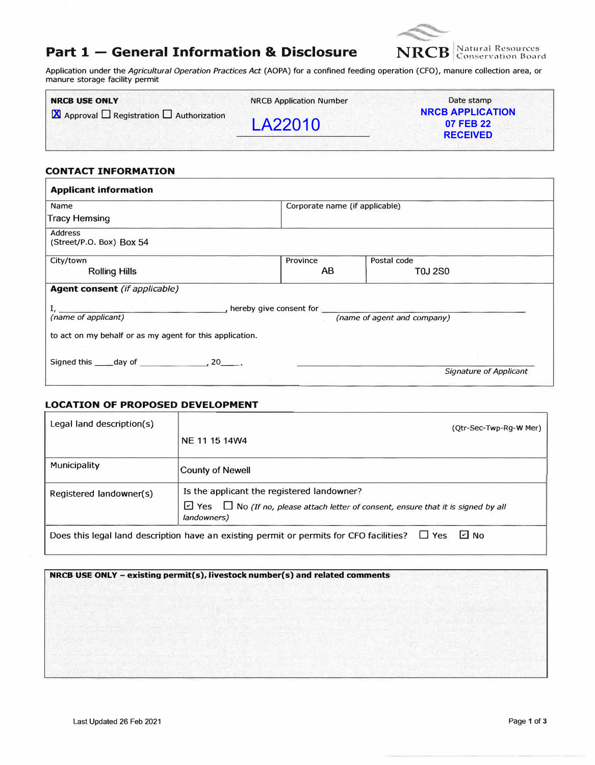## **Part 1 - General Information & Disclosure**



Application under the *Agricultural Operation Practices* Act (AOPA) for a confined feeding operation (CFO), manure collection area, or manure storage facility permit

| <b>NRCB USE ONLY</b>                                             | <b>NRCB Application Number</b> | Date stamp                                              |
|------------------------------------------------------------------|--------------------------------|---------------------------------------------------------|
| $\blacksquare$ Approval $\Box$ Registration $\Box$ Authorization | LA22010                        | <b>NRCB APPLICATION</b><br>07 FEB 22<br><b>RECEIVED</b> |
|                                                                  |                                |                                                         |

#### **CONTACT INFORMATION**

| <b>Applicant information</b>                                                                                               |                                |                        |  |  |  |
|----------------------------------------------------------------------------------------------------------------------------|--------------------------------|------------------------|--|--|--|
| Name                                                                                                                       | Corporate name (if applicable) |                        |  |  |  |
| <b>Tracy Hemsing</b>                                                                                                       |                                |                        |  |  |  |
| <b>Address</b><br>(Street/P.O. Box) Box 54                                                                                 |                                |                        |  |  |  |
| City/town                                                                                                                  | Province                       | Postal code            |  |  |  |
| <b>Rolling Hills</b>                                                                                                       | AB                             | T0J 2S0                |  |  |  |
| <b>Agent consent</b> (if applicable)                                                                                       |                                |                        |  |  |  |
| $\rightarrow$ hereby give consent for $\frac{1}{\sqrt{1-\frac{1}{2}}}\left\vert \frac{1}{\sqrt{1-\frac{1}{2}}}\right\vert$ |                                |                        |  |  |  |
| (name of applicant)                                                                                                        | (name of agent and company)    |                        |  |  |  |
| to act on my behalf or as my agent for this application.                                                                   |                                |                        |  |  |  |
| Signed this _____ day of _________________, 20______.                                                                      |                                |                        |  |  |  |
|                                                                                                                            |                                | Signature of Applicant |  |  |  |

#### **LOCATION OF PROPOSED DEVELOPMENT**

| Legal land description(s) | (Otr-Sec-Twp-Rg-W Mer)                                                                                       |
|---------------------------|--------------------------------------------------------------------------------------------------------------|
|                           | NE 11 15 14 W4                                                                                               |
| Municipality              | <b>County of Newell</b>                                                                                      |
| Registered landowner(s)   | Is the applicant the registered landowner?                                                                   |
|                           | $\Box$ Yes $\Box$ No (If no, please attach letter of consent, ensure that it is signed by all<br>landowners) |
|                           | L⊴ No<br>Does this legal land description have an existing permit or permits for CFO facilities? $\Box$ Yes  |

#### **NRCB USE ONLY - existing permit(s), livestock number(s) and related comments**